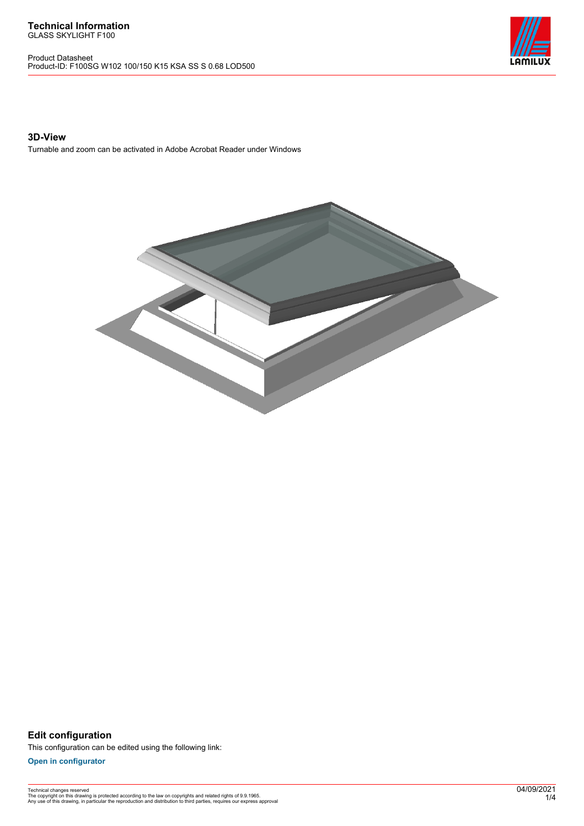Product Datasheet Product-ID: F100SG W102 100/150 K15 KSA SS S 0.68 LOD500



### **3D-View**

Turnable and zoom can be activated in Adobe Acrobat Reader under Windows



**Edit configuration** This configuration can be edited using the following link:

**[Open in configurator](https://bimconfig.lamilux.com//?quickcode=IHTBZT)**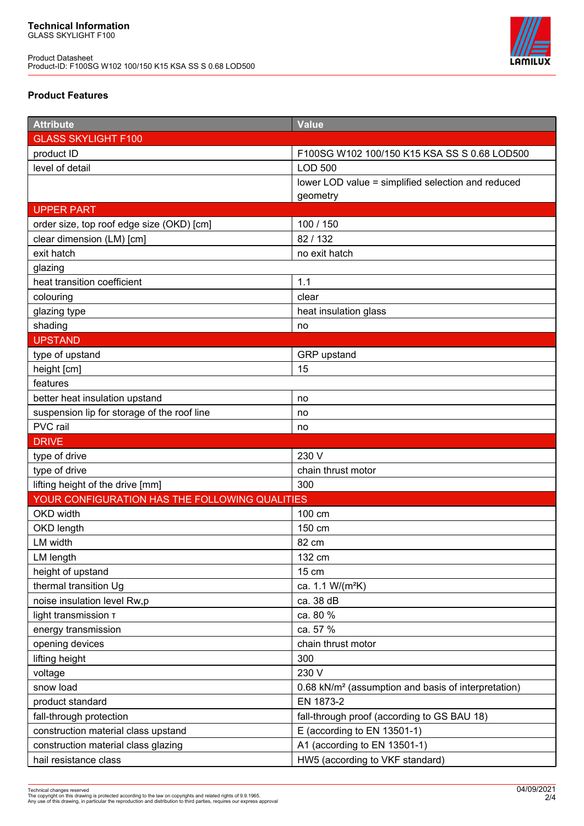Product Datasheet Product-ID: F100SG W102 100/150 K15 KSA SS S 0.68 LOD500



## **Product Features**

| <b>Attribute</b>                               | Value                                                           |
|------------------------------------------------|-----------------------------------------------------------------|
| <b>GLASS SKYLIGHT F100</b>                     |                                                                 |
| product ID                                     | F100SG W102 100/150 K15 KSA SS S 0.68 LOD500                    |
| level of detail                                | <b>LOD 500</b>                                                  |
|                                                | lower LOD value = simplified selection and reduced              |
|                                                | geometry                                                        |
| <b>UPPER PART</b>                              |                                                                 |
| order size, top roof edge size (OKD) [cm]      | 100 / 150                                                       |
| clear dimension (LM) [cm]                      | 82 / 132                                                        |
| exit hatch                                     | no exit hatch                                                   |
| glazing                                        |                                                                 |
| heat transition coefficient                    | 1.1                                                             |
| colouring                                      | clear                                                           |
| glazing type                                   | heat insulation glass                                           |
| shading                                        | no                                                              |
| <b>UPSTAND</b>                                 |                                                                 |
| type of upstand                                | GRP upstand                                                     |
| height [cm]                                    | 15                                                              |
| features                                       |                                                                 |
| better heat insulation upstand                 | no                                                              |
| suspension lip for storage of the roof line    | no                                                              |
| PVC rail                                       | no                                                              |
| <b>DRIVE</b>                                   |                                                                 |
|                                                |                                                                 |
| type of drive                                  | 230 V                                                           |
| type of drive                                  | chain thrust motor                                              |
| lifting height of the drive [mm]               | 300                                                             |
| YOUR CONFIGURATION HAS THE FOLLOWING QUALITIES |                                                                 |
| OKD width                                      | 100 cm                                                          |
| OKD length                                     | 150 cm                                                          |
| LM width                                       | 82 cm                                                           |
| LM length                                      | 132 cm                                                          |
| height of upstand                              | 15 cm                                                           |
| thermal transition Ug                          | ca. 1.1 W/(m <sup>2</sup> K)                                    |
| noise insulation level Rw,p                    | ca. 38 dB                                                       |
| light transmission T                           | ca. 80 %                                                        |
| energy transmission                            | ca. 57 %                                                        |
| opening devices                                | chain thrust motor                                              |
| lifting height                                 | 300                                                             |
| voltage                                        | 230 V                                                           |
| snow load                                      | 0.68 kN/m <sup>2</sup> (assumption and basis of interpretation) |
| product standard                               | EN 1873-2                                                       |
| fall-through protection                        | fall-through proof (according to GS BAU 18)                     |
| construction material class upstand            | E (according to EN 13501-1)                                     |
| construction material class glazing            | A1 (according to EN 13501-1)                                    |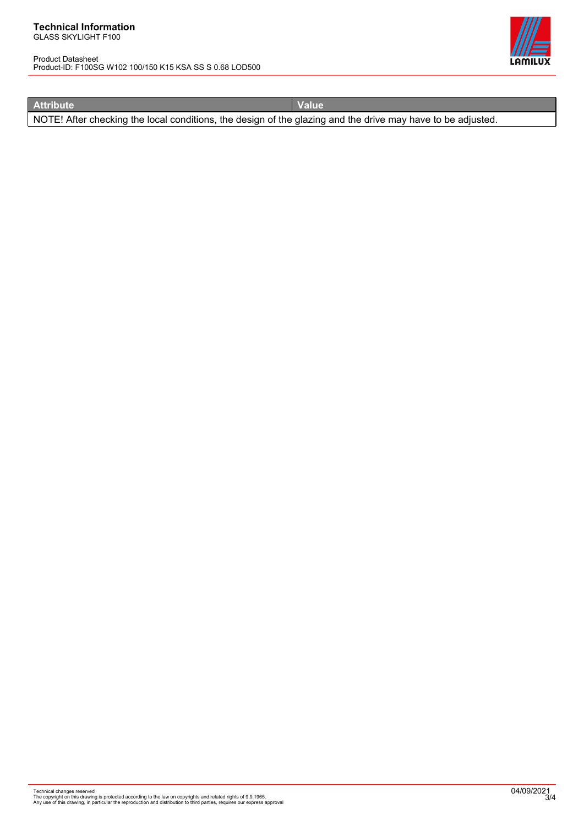#### **Technical Information** GLASS SKYLIGHT F100

Product Datasheet Product-ID: F100SG W102 100/150 K15 KSA SS S 0.68 LOD500



**Attribute Value** 

NOTE! After checking the local conditions, the design of the glazing and the drive may have to be adjusted.